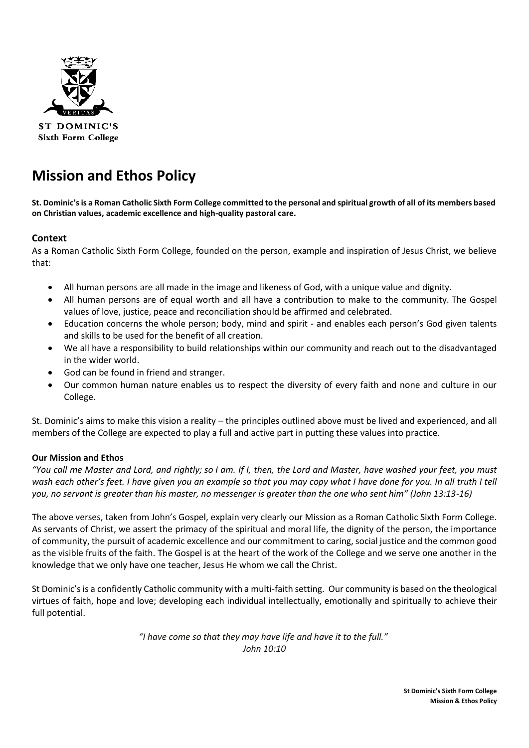

**ST DOMINIC'S Sixth Form College** 

# **Mission and Ethos Policy**

**St. Dominic's is a Roman Catholic Sixth Form College committed to the personal and spiritual growth of all of its members based on Christian values, academic excellence and high-quality pastoral care.**

## **Context**

As a Roman Catholic Sixth Form College, founded on the person, example and inspiration of Jesus Christ, we believe that:

- All human persons are all made in the image and likeness of God, with a unique value and dignity.
- All human persons are of equal worth and all have a contribution to make to the community. The Gospel values of love, justice, peace and reconciliation should be affirmed and celebrated.
- Education concerns the whole person; body, mind and spirit and enables each person's God given talents and skills to be used for the benefit of all creation.
- We all have a responsibility to build relationships within our community and reach out to the disadvantaged in the wider world.
- God can be found in friend and stranger.
- Our common human nature enables us to respect the diversity of every faith and none and culture in our College.

St. Dominic's aims to make this vision a reality – the principles outlined above must be lived and experienced, and all members of the College are expected to play a full and active part in putting these values into practice.

## **Our Mission and Ethos**

*"You call me Master and Lord, and rightly; so I am. If I, then, the Lord and Master, have washed your feet, you must wash each other's feet. I have given you an example so that you may copy what I have done for you. In all truth I tell you, no servant is greater than his master, no messenger is greater than the one who sent him" (John 13:13-16)*

The above verses, taken from John's Gospel, explain very clearly our Mission as a Roman Catholic Sixth Form College. As servants of Christ, we assert the primacy of the spiritual and moral life, the dignity of the person, the importance of community, the pursuit of academic excellence and our commitment to caring, social justice and the common good as the visible fruits of the faith. The Gospel is at the heart of the work of the College and we serve one another in the knowledge that we only have one teacher, Jesus He whom we call the Christ.

St Dominic's is a confidently Catholic community with a multi-faith setting. Our community is based on the theological virtues of faith, hope and love; developing each individual intellectually, emotionally and spiritually to achieve their full potential.

> *"I have come so that they may have life and have it to the full." John 10:10*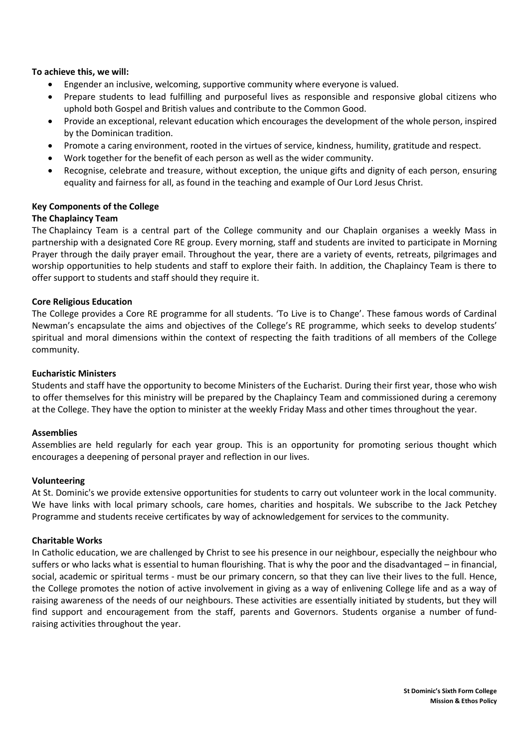#### **To achieve this, we will:**

- Engender an inclusive, welcoming, supportive community where everyone is valued.
- Prepare students to lead fulfilling and purposeful lives as responsible and responsive global citizens who uphold both Gospel and British values and contribute to the Common Good.
- Provide an exceptional, relevant education which encourages the development of the whole person, inspired by the Dominican tradition.
- Promote a caring environment, rooted in the virtues of service, kindness, humility, gratitude and respect.
- Work together for the benefit of each person as well as the wider community.
- Recognise, celebrate and treasure, without exception, the unique gifts and dignity of each person, ensuring equality and fairness for all, as found in the teaching and example of Our Lord Jesus Christ.

#### **Key Components of the College**

#### **The Chaplaincy Team**

The Chaplaincy Team is a central part of the College community and our Chaplain organises a weekly Mass in partnership with a designated Core RE group. Every morning, staff and students are invited to participate in Morning Prayer through the daily prayer email. Throughout the year, there are a variety of events, retreats, pilgrimages and worship opportunities to help students and staff to explore their faith. In addition, the Chaplaincy Team is there to offer support to students and staff should they require it.

#### **Core Religious Education**

The College provides a Core RE programme for all students. 'To Live is to Change'. These famous words of Cardinal Newman's encapsulate the aims and objectives of the College's RE programme, which seeks to develop students' spiritual and moral dimensions within the context of respecting the faith traditions of all members of the College community.

#### **Eucharistic Ministers**

Students and staff have the opportunity to become Ministers of the Eucharist. During their first year, those who wish to offer themselves for this ministry will be prepared by the Chaplaincy Team and commissioned during a ceremony at the College. They have the option to minister at the weekly Friday Mass and other times throughout the year.

#### **Assemblies**

Assemblies are held regularly for each year group. This is an opportunity for promoting serious thought which encourages a deepening of personal prayer and reflection in our lives.

#### **Volunteering**

At St. Dominic's we provide extensive opportunities for students to carry out volunteer work in the local community. We have links with local primary schools, care homes, charities and hospitals. We subscribe to the Jack Petchey Programme and students receive certificates by way of acknowledgement for services to the community.

#### **Charitable Works**

In Catholic education, we are challenged by Christ to see his presence in our neighbour, especially the neighbour who suffers or who lacks what is essential to human flourishing. That is why the poor and the disadvantaged – in financial, social, academic or spiritual terms - must be our primary concern, so that they can live their lives to the full. Hence, the College promotes the notion of active involvement in giving as a way of enlivening College life and as a way of raising awareness of the needs of our neighbours. These activities are essentially initiated by students, but they will find support and encouragement from the staff, parents and Governors. Students organise a number of fundraising activities throughout the year.